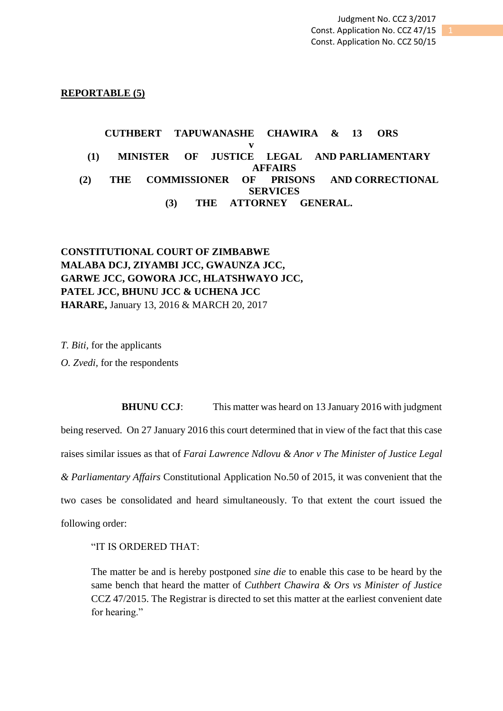## **REPORTABLE (5)**

# **CUTHBERT TAPUWANASHE CHAWIRA & 13 ORS v (1) MINISTER OF JUSTICE LEGAL AND PARLIAMENTARY AFFAIRS (2) THE COMMISSIONER OF PRISONS AND CORRECTIONAL SERVICES (3) THE ATTORNEY GENERAL.**

# **CONSTITUTIONAL COURT OF ZIMBABWE MALABA DCJ, ZIYAMBI JCC, GWAUNZA JCC, GARWE JCC, GOWORA JCC, HLATSHWAYO JCC, PATEL JCC, BHUNU JCC & UCHENA JCC HARARE,** January 13, 2016 & MARCH 20, 2017

*T. Biti,* for the applicants *O. Zvedi,* for the respondents

**BHUNU CCJ:** This matter was heard on 13 January 2016 with judgment being reserved. On 27 January 2016 this court determined that in view of the fact that this case raises similar issues as that of *Farai Lawrence Ndlovu & Anor v The Minister of Justice Legal & Parliamentary Affairs* Constitutional Application No.50 of 2015, it was convenient that the two cases be consolidated and heard simultaneously. To that extent the court issued the following order:

"IT IS ORDERED THAT:

The matter be and is hereby postponed *sine die* to enable this case to be heard by the same bench that heard the matter of *Cuthbert Chawira & Ors vs Minister of Justice* CCZ 47/2015. The Registrar is directed to set this matter at the earliest convenient date for hearing."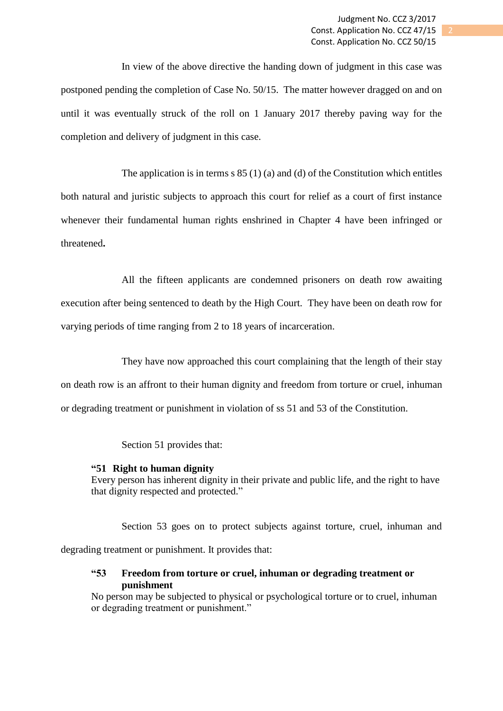In view of the above directive the handing down of judgment in this case was postponed pending the completion of Case No. 50/15. The matter however dragged on and on until it was eventually struck of the roll on 1 January 2017 thereby paving way for the completion and delivery of judgment in this case.

The application is in terms  $s 85 (1) (a)$  and (d) of the Constitution which entitles both natural and juristic subjects to approach this court for relief as a court of first instance whenever their fundamental human rights enshrined in Chapter 4 have been infringed or threatened**.**

All the fifteen applicants are condemned prisoners on death row awaiting execution after being sentenced to death by the High Court. They have been on death row for varying periods of time ranging from 2 to 18 years of incarceration.

They have now approached this court complaining that the length of their stay on death row is an affront to their human dignity and freedom from torture or cruel, inhuman or degrading treatment or punishment in violation of ss 51 and 53 of the Constitution.

Section 51 provides that:

## **"51 Right to human dignity**

Every person has inherent dignity in their private and public life, and the right to have that dignity respected and protected."

Section 53 goes on to protect subjects against torture, cruel, inhuman and degrading treatment or punishment. It provides that:

## **"53 Freedom from torture or cruel, inhuman or degrading treatment or punishment**

No person may be subjected to physical or psychological torture or to cruel, inhuman or degrading treatment or punishment."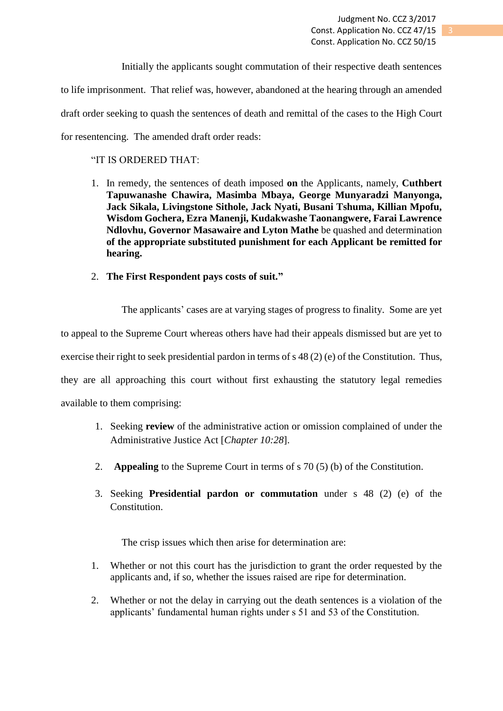Initially the applicants sought commutation of their respective death sentences to life imprisonment. That relief was, however, abandoned at the hearing through an amended draft order seeking to quash the sentences of death and remittal of the cases to the High Court for resentencing. The amended draft order reads:

## "IT IS ORDERED THAT:

- 1. In remedy, the sentences of death imposed **on** the Applicants, namely, **Cuthbert Tapuwanashe Chawira, Masimba Mbaya, George Munyaradzi Manyonga, Jack Sikala, Livingstone Sithole, Jack Nyati, Busani Tshuma, Killian Mpofu, Wisdom Gochera, Ezra Manenji, Kudakwashe Taonangwere, Farai Lawrence Ndlovhu, Governor Masawaire and Lyton Mathe** be quashed and determination **of the appropriate substituted punishment for each Applicant be remitted for hearing.**
- 2. **The First Respondent pays costs of suit."**

The applicants' cases are at varying stages of progress to finality. Some are yet to appeal to the Supreme Court whereas others have had their appeals dismissed but are yet to exercise their right to seek presidential pardon in terms of s 48 (2) (e) of the Constitution. Thus, they are all approaching this court without first exhausting the statutory legal remedies available to them comprising:

- 1. Seeking **review** of the administrative action or omission complained of under the Administrative Justice Act [*Chapter 10:28*].
- 2. **Appealing** to the Supreme Court in terms of s 70 (5) (b) of the Constitution.
- 3. Seeking **Presidential pardon or commutation** under s 48 (2) (e) of the Constitution.

The crisp issues which then arise for determination are:

- 1. Whether or not this court has the jurisdiction to grant the order requested by the applicants and, if so, whether the issues raised are ripe for determination.
- 2. Whether or not the delay in carrying out the death sentences is a violation of the applicants' fundamental human rights under s 51 and 53 of the Constitution.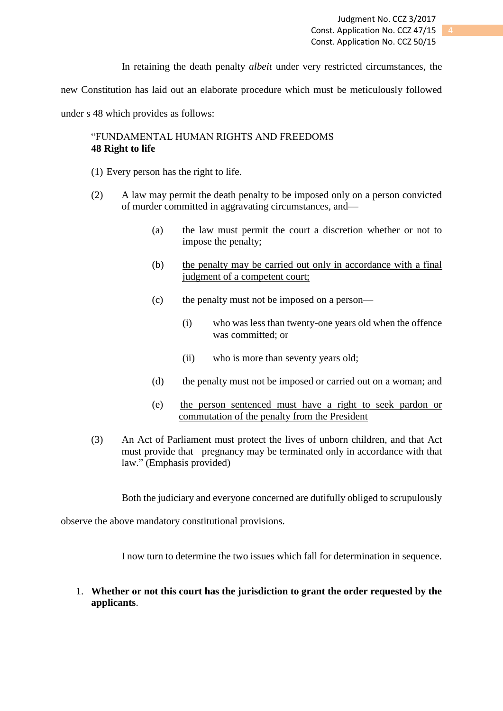In retaining the death penalty *albeit* under very restricted circumstances, the

new Constitution has laid out an elaborate procedure which must be meticulously followed

under s 48 which provides as follows:

## "FUNDAMENTAL HUMAN RIGHTS AND FREEDOMS **48 Right to life**

- (1) Every person has the right to life.
- (2) A law may permit the death penalty to be imposed only on a person convicted of murder committed in aggravating circumstances, and—
	- (a) the law must permit the court a discretion whether or not to impose the penalty;
	- (b) the penalty may be carried out only in accordance with a final judgment of a competent court;
	- (c) the penalty must not be imposed on a person—
		- (i) who was less than twenty-one years old when the offence was committed; or
		- (ii) who is more than seventy years old;
	- (d) the penalty must not be imposed or carried out on a woman; and
	- (e) the person sentenced must have a right to seek pardon or commutation of the penalty from the President
- (3) An Act of Parliament must protect the lives of unborn children, and that Act must provide that pregnancy may be terminated only in accordance with that law." (Emphasis provided)

Both the judiciary and everyone concerned are dutifully obliged to scrupulously

observe the above mandatory constitutional provisions.

I now turn to determine the two issues which fall for determination in sequence.

1. **Whether or not this court has the jurisdiction to grant the order requested by the applicants**.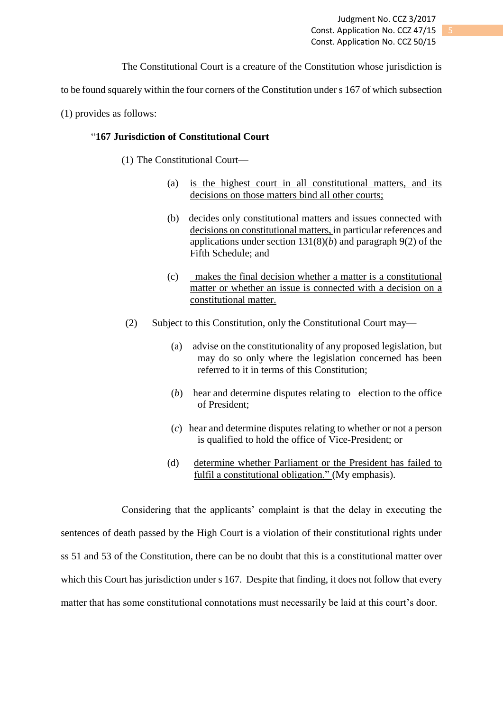Judgment No. CCZ 3/2017 Const. Application No. CCZ 47/15 Const. Application No. CCZ 50/15

The Constitutional Court is a creature of the Constitution whose jurisdiction is

to be found squarely within the four corners of the Constitution under s 167 of which subsection

(1) provides as follows:

### "**167 Jurisdiction of Constitutional Court**

- (1) The Constitutional Court—
	- (a) is the highest court in all constitutional matters, and its decisions on those matters bind all other courts;
	- (b) decides only constitutional matters and issues connected with decisions on constitutional matters, in particular references and applications under section 131(8)(*b*) and paragraph 9(2) of the Fifth Schedule; and
	- (c) makes the final decision whether a matter is a constitutional matter or whether an issue is connected with a decision on a constitutional matter.
- (2) Subject to this Constitution, only the Constitutional Court may—
	- (a) advise on the constitutionality of any proposed legislation, but may do so only where the legislation concerned has been referred to it in terms of this Constitution;
	- (*b*) hear and determine disputes relating to election to the office of President;
	- (*c*) hear and determine disputes relating to whether or not a person is qualified to hold the office of Vice-President; or
	- (d) determine whether Parliament or the President has failed to fulfil a constitutional obligation." (My emphasis).

Considering that the applicants' complaint is that the delay in executing the sentences of death passed by the High Court is a violation of their constitutional rights under ss 51 and 53 of the Constitution, there can be no doubt that this is a constitutional matter over which this Court has jurisdiction under s 167. Despite that finding, it does not follow that every matter that has some constitutional connotations must necessarily be laid at this court's door.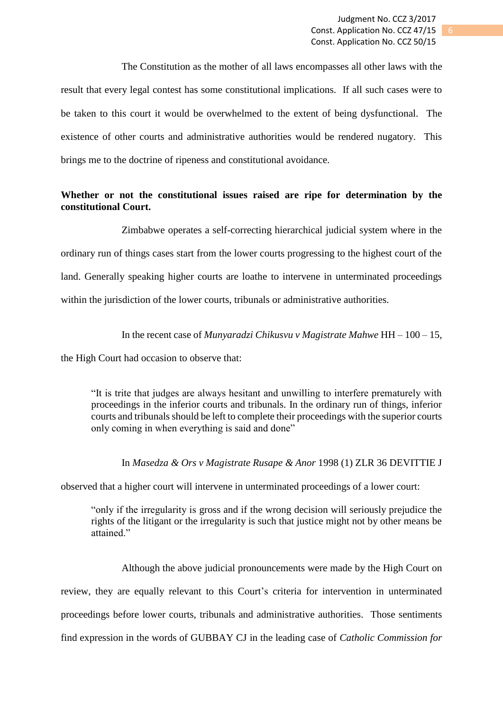The Constitution as the mother of all laws encompasses all other laws with the result that every legal contest has some constitutional implications. If all such cases were to be taken to this court it would be overwhelmed to the extent of being dysfunctional. The existence of other courts and administrative authorities would be rendered nugatory. This brings me to the doctrine of ripeness and constitutional avoidance.

## **Whether or not the constitutional issues raised are ripe for determination by the constitutional Court.**

Zimbabwe operates a self-correcting hierarchical judicial system where in the ordinary run of things cases start from the lower courts progressing to the highest court of the land. Generally speaking higher courts are loathe to intervene in unterminated proceedings within the jurisdiction of the lower courts, tribunals or administrative authorities.

In the recent case of *Munyaradzi Chikusvu v Magistrate Mahwe* HH – 100 – 15,

the High Court had occasion to observe that:

"It is trite that judges are always hesitant and unwilling to interfere prematurely with proceedings in the inferior courts and tribunals. In the ordinary run of things, inferior courts and tribunals should be left to complete their proceedings with the superior courts only coming in when everything is said and done"

## In *Masedza & Ors v Magistrate Rusape & Anor* 1998 (1) ZLR 36 DEVITTIE J

observed that a higher court will intervene in unterminated proceedings of a lower court:

"only if the irregularity is gross and if the wrong decision will seriously prejudice the rights of the litigant or the irregularity is such that justice might not by other means be attained."

Although the above judicial pronouncements were made by the High Court on review, they are equally relevant to this Court's criteria for intervention in unterminated proceedings before lower courts, tribunals and administrative authorities. Those sentiments find expression in the words of GUBBAY CJ in the leading case of *Catholic Commission for*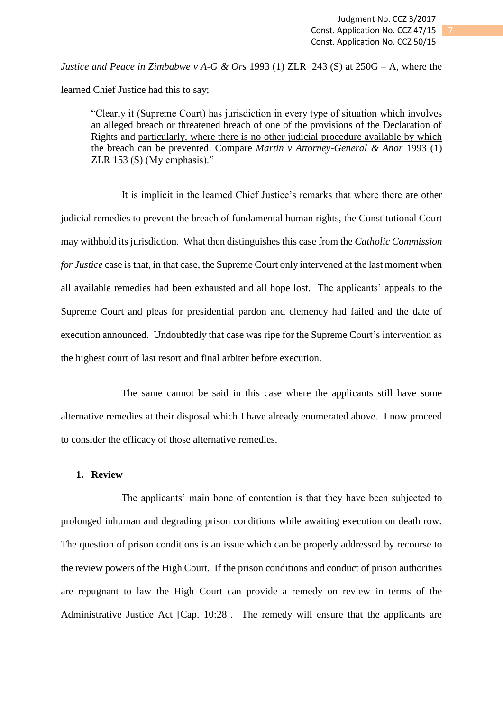*Justice and Peace in Zimbabwe v A-G & Ors* 1993 (1) ZLR 243 (S) at 250G – A, where the learned Chief Justice had this to say;

"Clearly it (Supreme Court) has jurisdiction in every type of situation which involves an alleged breach or threatened breach of one of the provisions of the Declaration of Rights and particularly, where there is no other judicial procedure available by which the breach can be prevented. Compare *Martin v Attorney-General & Anor* 1993 (1) ZLR 153 (S) (My emphasis)."

It is implicit in the learned Chief Justice's remarks that where there are other judicial remedies to prevent the breach of fundamental human rights, the Constitutional Court may withhold its jurisdiction. What then distinguishes this case from the *Catholic Commission for Justice* case is that, in that case, the Supreme Court only intervened at the last moment when all available remedies had been exhausted and all hope lost. The applicants' appeals to the Supreme Court and pleas for presidential pardon and clemency had failed and the date of execution announced. Undoubtedly that case was ripe for the Supreme Court's intervention as the highest court of last resort and final arbiter before execution.

The same cannot be said in this case where the applicants still have some alternative remedies at their disposal which I have already enumerated above. I now proceed to consider the efficacy of those alternative remedies.

## **1. Review**

The applicants' main bone of contention is that they have been subjected to prolonged inhuman and degrading prison conditions while awaiting execution on death row. The question of prison conditions is an issue which can be properly addressed by recourse to the review powers of the High Court. If the prison conditions and conduct of prison authorities are repugnant to law the High Court can provide a remedy on review in terms of the Administrative Justice Act [Cap. 10:28]. The remedy will ensure that the applicants are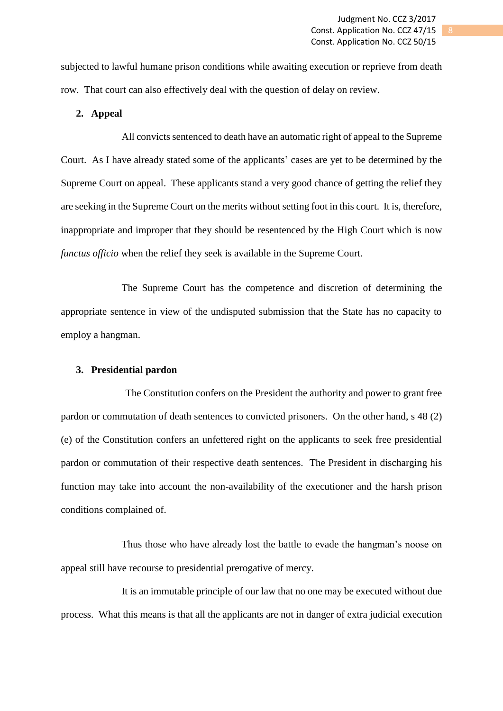subjected to lawful humane prison conditions while awaiting execution or reprieve from death row. That court can also effectively deal with the question of delay on review.

## **2. Appeal**

All convicts sentenced to death have an automatic right of appeal to the Supreme Court. As I have already stated some of the applicants' cases are yet to be determined by the Supreme Court on appeal. These applicants stand a very good chance of getting the relief they are seeking in the Supreme Court on the merits without setting foot in this court. It is, therefore, inappropriate and improper that they should be resentenced by the High Court which is now *functus officio* when the relief they seek is available in the Supreme Court.

The Supreme Court has the competence and discretion of determining the appropriate sentence in view of the undisputed submission that the State has no capacity to employ a hangman.

#### **3. Presidential pardon**

The Constitution confers on the President the authority and power to grant free pardon or commutation of death sentences to convicted prisoners. On the other hand, s 48 (2) (e) of the Constitution confers an unfettered right on the applicants to seek free presidential pardon or commutation of their respective death sentences. The President in discharging his function may take into account the non-availability of the executioner and the harsh prison conditions complained of.

Thus those who have already lost the battle to evade the hangman's noose on appeal still have recourse to presidential prerogative of mercy.

It is an immutable principle of our law that no one may be executed without due process. What this means is that all the applicants are not in danger of extra judicial execution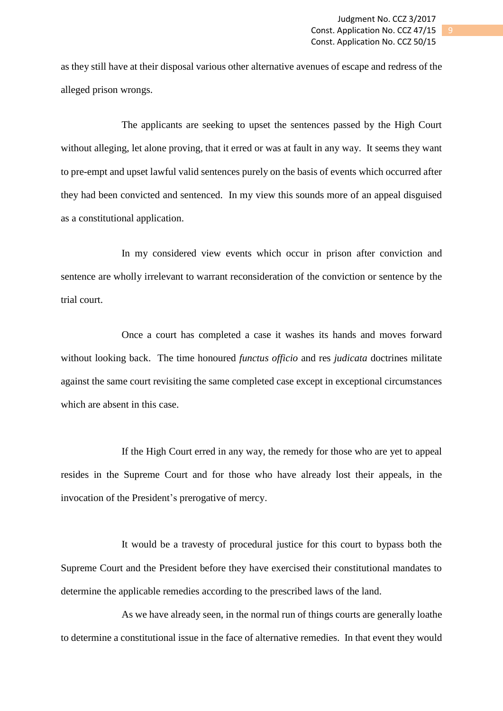as they still have at their disposal various other alternative avenues of escape and redress of the alleged prison wrongs.

The applicants are seeking to upset the sentences passed by the High Court without alleging, let alone proving, that it erred or was at fault in any way. It seems they want to pre-empt and upset lawful valid sentences purely on the basis of events which occurred after they had been convicted and sentenced. In my view this sounds more of an appeal disguised as a constitutional application.

In my considered view events which occur in prison after conviction and sentence are wholly irrelevant to warrant reconsideration of the conviction or sentence by the trial court.

Once a court has completed a case it washes its hands and moves forward without looking back. The time honoured *functus officio* and res *judicata* doctrines militate against the same court revisiting the same completed case except in exceptional circumstances which are absent in this case.

If the High Court erred in any way, the remedy for those who are yet to appeal resides in the Supreme Court and for those who have already lost their appeals, in the invocation of the President's prerogative of mercy.

It would be a travesty of procedural justice for this court to bypass both the Supreme Court and the President before they have exercised their constitutional mandates to determine the applicable remedies according to the prescribed laws of the land.

As we have already seen, in the normal run of things courts are generally loathe to determine a constitutional issue in the face of alternative remedies. In that event they would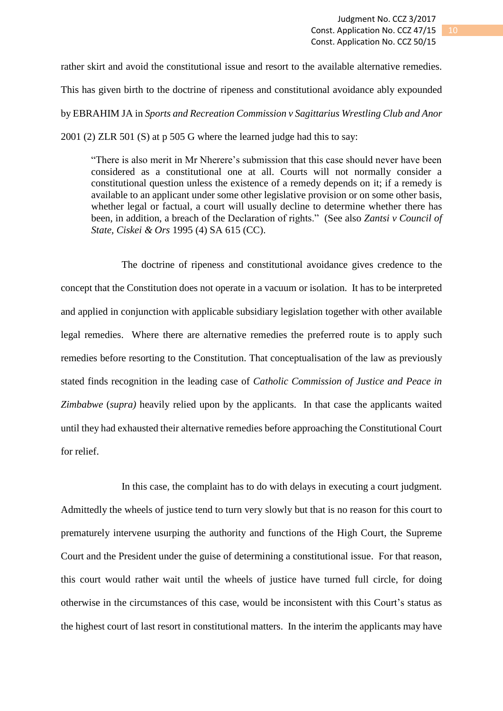rather skirt and avoid the constitutional issue and resort to the available alternative remedies. This has given birth to the doctrine of ripeness and constitutional avoidance ably expounded by EBRAHIM JA in *Sports and Recreation Commission v Sagittarius Wrestling Club and Anor* 2001 (2) ZLR 501 (S) at p 505 G where the learned judge had this to say:

"There is also merit in Mr Nherere's submission that this case should never have been considered as a constitutional one at all. Courts will not normally consider a constitutional question unless the existence of a remedy depends on it; if a remedy is available to an applicant under some other legislative provision or on some other basis, whether legal or factual, a court will usually decline to determine whether there has been, in addition, a breach of the Declaration of rights." (See also *Zantsi v Council of State, Ciskei & Ors* 1995 (4) SA 615 (CC).

The doctrine of ripeness and constitutional avoidance gives credence to the concept that the Constitution does not operate in a vacuum or isolation. It has to be interpreted and applied in conjunction with applicable subsidiary legislation together with other available legal remedies. Where there are alternative remedies the preferred route is to apply such remedies before resorting to the Constitution. That conceptualisation of the law as previously stated finds recognition in the leading case of *Catholic Commission of Justice and Peace in Zimbabwe* (*supra)* heavily relied upon by the applicants. In that case the applicants waited until they had exhausted their alternative remedies before approaching the Constitutional Court for relief.

In this case, the complaint has to do with delays in executing a court judgment. Admittedly the wheels of justice tend to turn very slowly but that is no reason for this court to prematurely intervene usurping the authority and functions of the High Court, the Supreme Court and the President under the guise of determining a constitutional issue. For that reason, this court would rather wait until the wheels of justice have turned full circle, for doing otherwise in the circumstances of this case, would be inconsistent with this Court's status as the highest court of last resort in constitutional matters. In the interim the applicants may have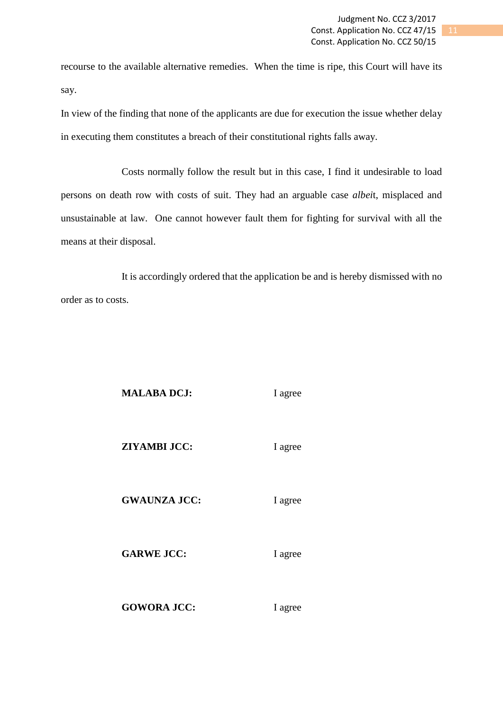recourse to the available alternative remedies. When the time is ripe, this Court will have its say.

In view of the finding that none of the applicants are due for execution the issue whether delay in executing them constitutes a breach of their constitutional rights falls away.

Costs normally follow the result but in this case, I find it undesirable to load persons on death row with costs of suit. They had an arguable case *albei*t, misplaced and unsustainable at law. One cannot however fault them for fighting for survival with all the means at their disposal.

It is accordingly ordered that the application be and is hereby dismissed with no order as to costs.

#### **MALABA DCJ:** I agree

**ZIYAMBI JCC:** I agree

#### GWAUNZA JCC: I agree

GARWE JCC: I agree

GOWORA JCC: I agree